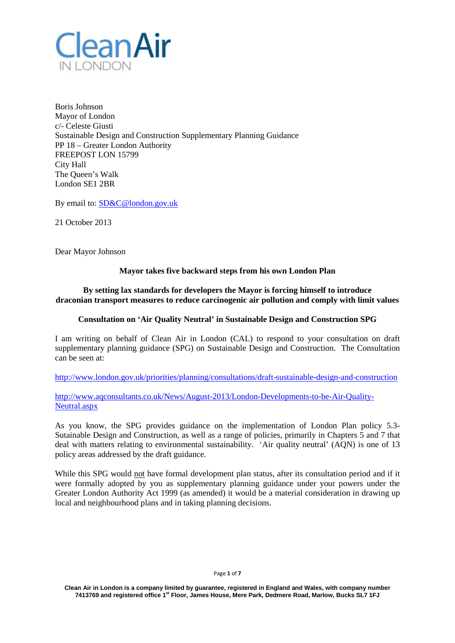

Boris Johnson Mayor of London c/- Celeste Giusti Sustainable Design and Construction Supplementary Planning Guidance PP 18 – Greater London Authority FREEPOST LON 15799 City Hall The Queen's Walk London SE1 2BR

By email to: [SD&C@london.gov.uk](mailto:SD&C@london.gov.uk)

21 October 2013

Dear Mayor Johnson

# **Mayor takes five backward steps from his own London Plan**

# **By setting lax standards for developers the Mayor is forcing himself to introduce draconian transport measures to reduce carcinogenic air pollution and comply with limit values**

## **Consultation on 'Air Quality Neutral' in Sustainable Design and Construction SPG**

I am writing on behalf of Clean Air in London (CAL) to respond to your consultation on draft supplementary planning guidance (SPG) on Sustainable Design and Construction. The Consultation can be seen at:

<http://www.london.gov.uk/priorities/planning/consultations/draft-sustainable-design-and-construction>

[http://www.aqconsultants.co.uk/News/August-2013/London-Developments-to-be-Air-Quality-](http://www.aqconsultants.co.uk/News/August-2013/London-Developments-to-be-Air-Quality-Neutral.aspx)[Neutral.aspx](http://www.aqconsultants.co.uk/News/August-2013/London-Developments-to-be-Air-Quality-Neutral.aspx)

As you know, the SPG provides guidance on the implementation of London Plan policy 5.3- Sutainable Design and Construction, as well as a range of policies, primarily in Chapters 5 and 7 that deal with matters relating to environmental sustainability. 'Air quality neutral' (AQN) is one of 13 policy areas addressed by the draft guidance.

While this SPG would not have formal development plan status, after its consultation period and if it were formally adopted by you as supplementary planning guidance under your powers under the Greater London Authority Act 1999 (as amended) it would be a material consideration in drawing up local and neighbourhood plans and in taking planning decisions.

#### Page **1** of **7**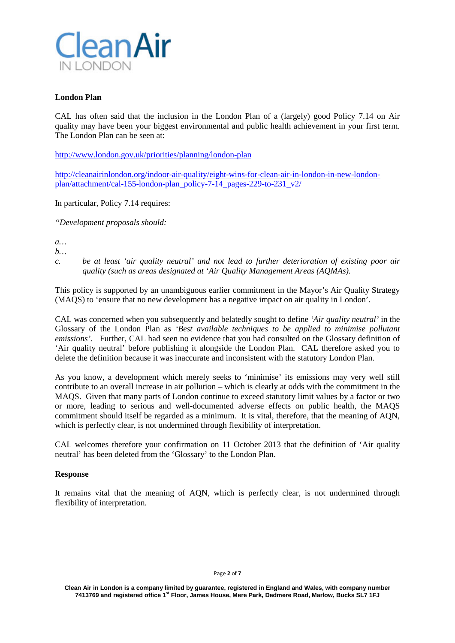

# **London Plan**

CAL has often said that the inclusion in the London Plan of a (largely) good Policy 7.14 on Air quality may have been your biggest environmental and public health achievement in your first term. The London Plan can be seen at:

<http://www.london.gov.uk/priorities/planning/london-plan>

[http://cleanairinlondon.org/indoor-air-quality/eight-wins-for-clean-air-in-london-in-new-london](http://cleanairinlondon.org/indoor-air-quality/eight-wins-for-clean-air-in-london-in-new-london-plan/attachment/cal-155-london-plan_policy-7-14_pages-229-to-231_v2/)[plan/attachment/cal-155-london-plan\\_policy-7-14\\_pages-229-to-231\\_v2/](http://cleanairinlondon.org/indoor-air-quality/eight-wins-for-clean-air-in-london-in-new-london-plan/attachment/cal-155-london-plan_policy-7-14_pages-229-to-231_v2/)

In particular, Policy 7.14 requires:

*"Development proposals should:*

*a…*

*b…*

*c. be at least 'air quality neutral' and not lead to further deterioration of existing poor air quality (such as areas designated at 'Air Quality Management Areas (AQMAs).*

This policy is supported by an unambiguous earlier commitment in the Mayor's Air Quality Strategy (MAQS) to 'ensure that no new development has a negative impact on air quality in London'.

CAL was concerned when you subsequently and belatedly sought to define *'Air quality neutral'* in the Glossary of the London Plan as *'Best available techniques to be applied to minimise pollutant emissions'.* Further, CAL had seen no evidence that you had consulted on the Glossary definition of 'Air quality neutral' before publishing it alongside the London Plan. CAL therefore asked you to delete the definition because it was inaccurate and inconsistent with the statutory London Plan.

As you know, a development which merely seeks to 'minimise' its emissions may very well still contribute to an overall increase in air pollution – which is clearly at odds with the commitment in the MAQS. Given that many parts of London continue to exceed statutory limit values by a factor or two or more, leading to serious and well-documented adverse effects on public health, the MAQS commitment should itself be regarded as a minimum. It is vital, therefore, that the meaning of AQN, which is perfectly clear, is not undermined through flexibility of interpretation.

CAL welcomes therefore your confirmation on 11 October 2013 that the definition of 'Air quality neutral' has been deleted from the 'Glossary' to the London Plan.

## **Response**

It remains vital that the meaning of AQN, which is perfectly clear, is not undermined through flexibility of interpretation.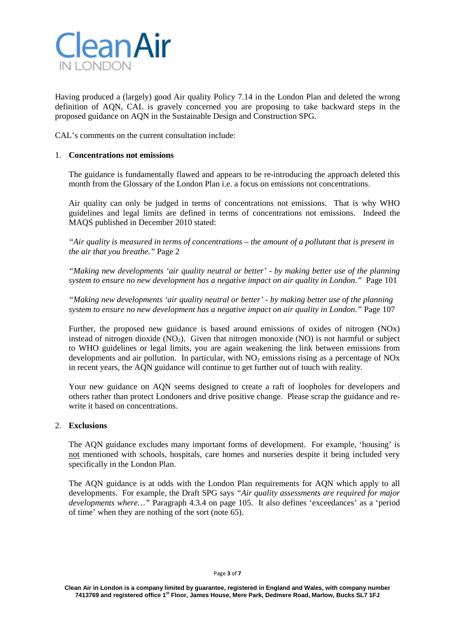

Having produced a (largely) good Air quality Policy 7.14 in the London Plan and deleted the wrong definition of AQN, CAL is gravely concerned you are proposing to take backward steps in the proposed guidance on AQN in the Sustainable Design and Construction SPG.

CAL's comments on the current consultation include:

## 1. **Concentrations not emissions**

The guidance is fundamentally flawed and appears to be re-introducing the approach deleted this month from the Glossary of the London Plan i.e. a focus on emissions not concentrations.

Air quality can only be judged in terms of concentrations not emissions. That is why WHO guidelines and legal limits are defined in terms of concentrations not emissions. Indeed the MAQS published in December 2010 stated:

*"Air quality is measured in terms of concentrations – the amount of a pollutant that is present in the air that you breathe."* Page 2

*"Making new developments 'air quality neutral or better' - by making better use of the planning system to ensure no new development has a negative impact on air quality in London."* Page 101

*"Making new developments 'air quality neutral or better' - by making better use of the planning system to ensure no new development has a negative impact on air quality in London."* Page 107

Further, the proposed new guidance is based around emissions of oxides of nitrogen (NOx) instead of nitrogen dioxide  $(NO<sub>2</sub>)$ . Given that nitrogen monoxide  $(NO)$  is not harmful or subject to WHO guidelines or legal limits, you are again weakening the link between emissions from developments and air pollution. In particular, with  $NO<sub>2</sub>$  emissions rising as a percentage of  $NO<sub>X</sub>$ in recent years, the AQN guidance will continue to get further out of touch with reality.

Your new guidance on AQN seems designed to create a raft of loopholes for developers and others rather than protect Londoners and drive positive change. Please scrap the guidance and rewrite it based on concentrations.

#### 2. **Exclusions**

The AQN guidance excludes many important forms of development. For example, 'housing' is not mentioned with schools, hospitals, care homes and nurseries despite it being included very specifically in the London Plan.

The AQN guidance is at odds with the London Plan requirements for AQN which apply to all developments. For example, the Draft SPG says *"Air quality assessments are required for major developments where…"* Paragraph 4.3.4 on page 105. It also defines 'exceedances' as a 'period of time' when they are nothing of the sort (note 65).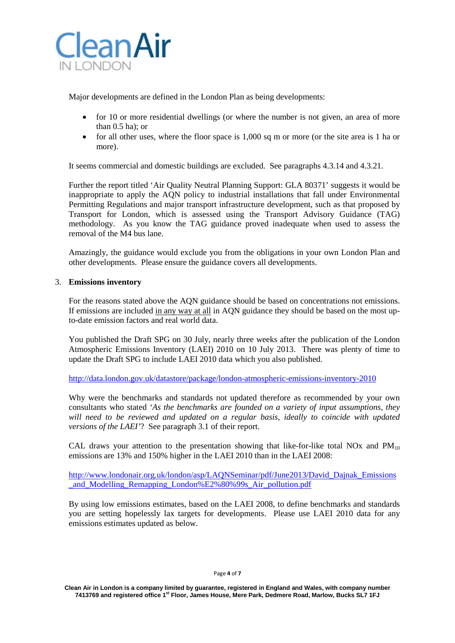

Major developments are defined in the London Plan as being developments:

- for 10 or more residential dwellings (or where the number is not given, an area of more than 0.5 ha); or
- for all other uses, where the floor space is 1,000 sq m or more (or the site area is 1 ha or more).

It seems commercial and domestic buildings are excluded. See paragraphs 4.3.14 and 4.3.21.

Further the report titled 'Air Quality Neutral Planning Support: GLA 80371' suggests it would be inappropriate to apply the AQN policy to industrial installations that fall under Environmental Permitting Regulations and major transport infrastructure development, such as that proposed by Transport for London, which is assessed using the Transport Advisory Guidance (TAG) methodology. As you know the TAG guidance proved inadequate when used to assess the removal of the M4 bus lane.

Amazingly, the guidance would exclude you from the obligations in your own London Plan and other developments. Please ensure the guidance covers all developments.

## 3. **Emissions inventory**

For the reasons stated above the AQN guidance should be based on concentrations not emissions. If emissions are included in any way at all in AQN guidance they should be based on the most upto-date emission factors and real world data.

You published the Draft SPG on 30 July, nearly three weeks after the publication of the London Atmospheric Emissions Inventory (LAEI) 2010 on 10 July 2013. There was plenty of time to update the Draft SPG to include LAEI 2010 data which you also published.

<http://data.london.gov.uk/datastore/package/london-atmospheric-emissions-inventory-2010>

Why were the benchmarks and standards not updated therefore as recommended by your own consultants who stated *'As the benchmarks are founded on a variety of input assumptions, they*  will need to be reviewed and updated on a regular basis, ideally to coincide with updated *versions of the LAEI'*? See paragraph 3.1 of their report.

CAL draws your attention to the presentation showing that like-for-like total NOx and  $PM_{10}$ emissions are 13% and 150% higher in the LAEI 2010 than in the LAEI 2008:

[http://www.londonair.org.uk/london/asp/LAQNSeminar/pdf/June2013/David\\_Dajnak\\_Emissions](http://www.londonair.org.uk/london/asp/LAQNSeminar/pdf/June2013/David_Dajnak_Emissions_and_Modelling_Remapping_London%E2%80%99s_Air_pollution.pdf) and Modelling Remapping London%E2%80%99s Air pollution.pdf

By using low emissions estimates, based on the LAEI 2008, to define benchmarks and standards you are setting hopelessly lax targets for developments. Please use LAEI 2010 data for any emissions estimates updated as below.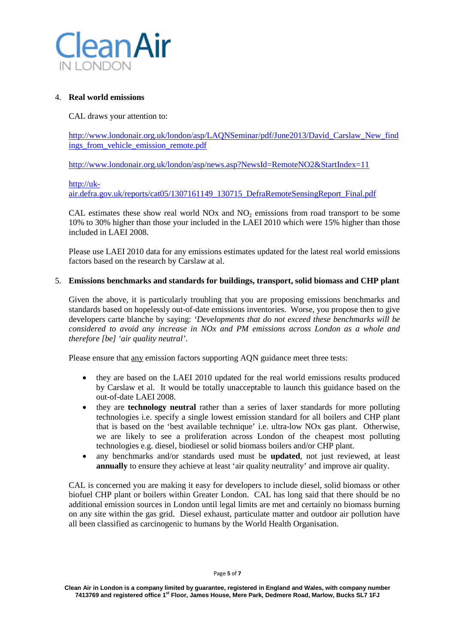

## 4. **Real world emissions**

CAL draws your attention to:

[http://www.londonair.org.uk/london/asp/LAQNSeminar/pdf/June2013/David\\_Carslaw\\_New\\_find](http://www.londonair.org.uk/london/asp/LAQNSeminar/pdf/June2013/David_Carslaw_New_findings_from_vehicle_emission_remote.pdf) [ings\\_from\\_vehicle\\_emission\\_remote.pdf](http://www.londonair.org.uk/london/asp/LAQNSeminar/pdf/June2013/David_Carslaw_New_findings_from_vehicle_emission_remote.pdf)

<http://www.londonair.org.uk/london/asp/news.asp?NewsId=RemoteNO2&StartIndex=11>

## [http://uk-](http://uk-air.defra.gov.uk/reports/cat05/1307161149_130715_DefraRemoteSensingReport_Final.pdf)

[air.defra.gov.uk/reports/cat05/1307161149\\_130715\\_DefraRemoteSensingReport\\_Final.pdf](http://uk-air.defra.gov.uk/reports/cat05/1307161149_130715_DefraRemoteSensingReport_Final.pdf)

CAL estimates these show real world NOx and  $NO<sub>2</sub>$  emissions from road transport to be some 10% to 30% higher than those your included in the LAEI 2010 which were 15% higher than those included in LAEI 2008.

Please use LAEI 2010 data for any emissions estimates updated for the latest real world emissions factors based on the research by Carslaw at al.

## 5. **Emissions benchmarks and standards for buildings, transport, solid biomass and CHP plant**

Given the above, it is particularly troubling that you are proposing emissions benchmarks and standards based on hopelessly out-of-date emissions inventories. Worse, you propose then to give developers carte blanche by saying: *'Developments that do not exceed these benchmarks will be considered to avoid any increase in NOx and PM emissions across London as a whole and therefore [be] 'air quality neutral'*.

Please ensure that any emission factors supporting AQN guidance meet three tests:

- they are based on the LAEI 2010 updated for the real world emissions results produced by Carslaw et al. It would be totally unacceptable to launch this guidance based on the out-of-date LAEI 2008.
- they are **technology neutral** rather than a series of laxer standards for more polluting technologies i.e. specify a single lowest emission standard for all boilers and CHP plant that is based on the 'best available technique' i.e. ultra-low NOx gas plant. Otherwise, we are likely to see a proliferation across London of the cheapest most polluting technologies e.g. diesel, biodiesel or solid biomass boilers and/or CHP plant.
- any benchmarks and/or standards used must be **updated**, not just reviewed, at least **annually** to ensure they achieve at least 'air quality neutrality' and improve air quality.

CAL is concerned you are making it easy for developers to include diesel, solid biomass or other biofuel CHP plant or boilers within Greater London. CAL has long said that there should be no additional emission sources in London until legal limits are met and certainly no biomass burning on any site within the gas grid. Diesel exhaust, particulate matter and outdoor air pollution have all been classified as carcinogenic to humans by the World Health Organisation.

Page **5** of **7**

**Clean Air in London is a company limited by guarantee, registered in England and Wales, with company number 7413769 and registered office 1st Floor, James House, Mere Park, Dedmere Road, Marlow, Bucks SL7 1FJ**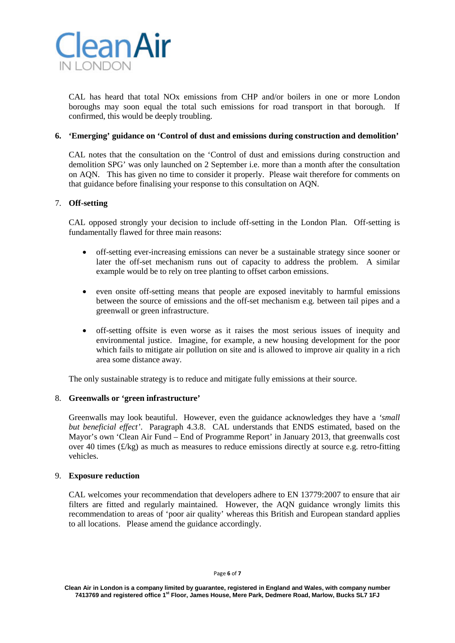

CAL has heard that total NOx emissions from CHP and/or boilers in one or more London boroughs may soon equal the total such emissions for road transport in that borough. If confirmed, this would be deeply troubling.

## **6. 'Emerging' guidance on 'Control of dust and emissions during construction and demolition'**

CAL notes that the consultation on the 'Control of dust and emissions during construction and demolition SPG' was only launched on 2 September i.e. more than a month after the consultation on AQN. This has given no time to consider it properly. Please wait therefore for comments on that guidance before finalising your response to this consultation on AQN.

## 7. **Off-setting**

CAL opposed strongly your decision to include off-setting in the London Plan. Off-setting is fundamentally flawed for three main reasons:

- off-setting ever-increasing emissions can never be a sustainable strategy since sooner or later the off-set mechanism runs out of capacity to address the problem. A similar example would be to rely on tree planting to offset carbon emissions.
- even onsite off-setting means that people are exposed inevitably to harmful emissions between the source of emissions and the off-set mechanism e.g. between tail pipes and a greenwall or green infrastructure.
- off-setting offsite is even worse as it raises the most serious issues of inequity and environmental justice. Imagine, for example, a new housing development for the poor which fails to mitigate air pollution on site and is allowed to improve air quality in a rich area some distance away.

The only sustainable strategy is to reduce and mitigate fully emissions at their source.

#### 8. **Greenwalls or 'green infrastructure'**

Greenwalls may look beautiful. However, even the guidance acknowledges they have a *'small but beneficial effect'*. Paragraph 4.3.8. CAL understands that ENDS estimated, based on the Mayor's own 'Clean Air Fund – End of Programme Report' in January 2013, that greenwalls cost over 40 times (£/kg) as much as measures to reduce emissions directly at source e.g. retro-fitting vehicles.

#### 9. **Exposure reduction**

CAL welcomes your recommendation that developers adhere to EN 13779:2007 to ensure that air filters are fitted and regularly maintained. However, the AQN guidance wrongly limits this recommendation to areas of 'poor air quality' whereas this British and European standard applies to all locations. Please amend the guidance accordingly.

**Clean Air in London is a company limited by guarantee, registered in England and Wales, with company number 7413769 and registered office 1st Floor, James House, Mere Park, Dedmere Road, Marlow, Bucks SL7 1FJ**